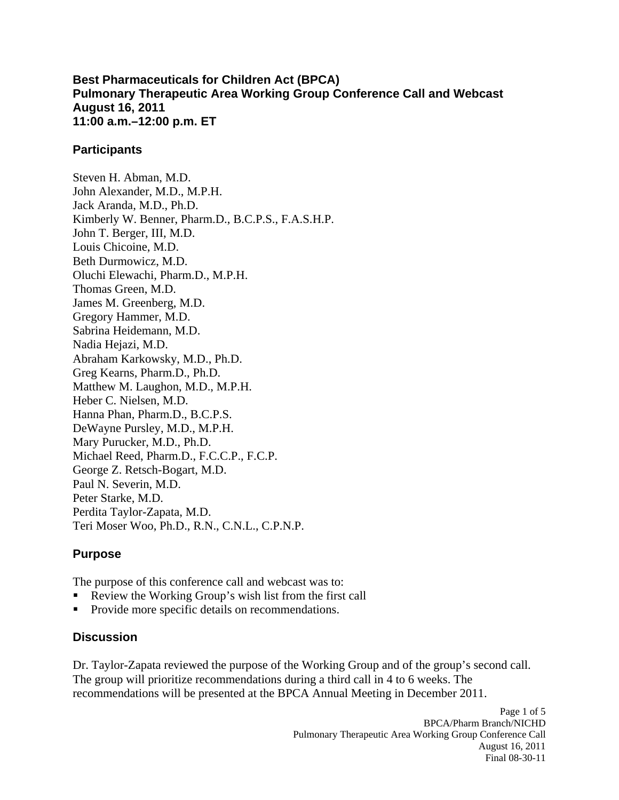**Best Pharmaceuticals for Children Act (BPCA) Pulmonary Therapeutic Area Working Group Conference Call and Webcast August 16, 2011 11:00 a.m.–12:00 p.m. ET** 

#### **Participants**

Steven H. Abman, M.D. John Alexander, M.D., M.P.H. Jack Aranda, M.D., Ph.D. Kimberly W. Benner, Pharm.D., B.C.P.S., F.A.S.H.P. John T. Berger, III, M.D. Louis Chicoine, M.D. Beth Durmowicz, M.D. Oluchi Elewachi, Pharm.D., M.P.H. Thomas Green, M.D. James M. Greenberg, M.D. Gregory Hammer, M.D. Sabrina Heidemann, M.D. Nadia Hejazi, M.D. Abraham Karkowsky, M.D., Ph.D. Greg Kearns, Pharm.D., Ph.D. Matthew M. Laughon, M.D., M.P.H. Heber C. Nielsen, M.D. Hanna Phan, Pharm.D., B.C.P.S. DeWayne Pursley, M.D., M.P.H. Mary Purucker, M.D., Ph.D. Michael Reed, Pharm.D., F.C.C.P., F.C.P. George Z. Retsch-Bogart, M.D. Paul N. Severin, M.D. Peter Starke, M.D. Perdita Taylor-Zapata, M.D. Teri Moser Woo, Ph.D., R.N., C.N.L., C.P.N.P.

### **Purpose**

The purpose of this conference call and webcast was to:

- . Review the Working Group's wish list from the first call
- . Provide more specific details on recommendations.

### **Discussion**

Dr. Taylor-Zapata reviewed the purpose of the Working Group and of the group's second call. The group will prioritize recommendations during a third call in 4 to 6 weeks. The recommendations will be presented at the BPCA Annual Meeting in December 2011.

> Page 1 of 5 BPCA/Pharm Branch/NICHD Pulmonary Therapeutic Area Working Group Conference Call August 16, 2011 Final 08-30-11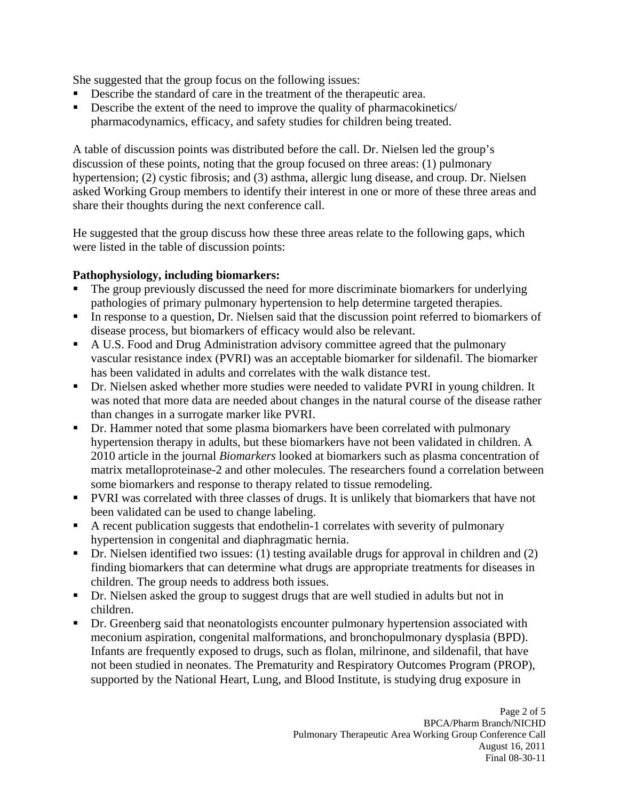She suggested that the group focus on the following issues:

- Describe the standard of care in the treatment of the therapeutic area.
- Describe the extent of the need to improve the quality of pharmacokinetics/ pharmacodynamics, efficacy, and safety studies for children being treated.

A table of discussion points was distributed before the call. Dr. Nielsen led the group's discussion of these points, noting that the group focused on three areas: (1) pulmonary hypertension; (2) cystic fibrosis; and (3) asthma, allergic lung disease, and croup. Dr. Nielsen asked Working Group members to identify their interest in one or more of these three areas and share their thoughts during the next conference call.

He suggested that the group discuss how these three areas relate to the following gaps, which were listed in the table of discussion points:

### **Pathophysiology, including biomarkers:**

- ٠ The group previously discussed the need for more discriminate biomarkers for underlying pathologies of primary pulmonary hypertension to help determine targeted therapies.
- In response to a question, Dr. Nielsen said that the discussion point referred to biomarkers of disease process, but biomarkers of efficacy would also be relevant.
- A U.S. Food and Drug Administration advisory committee agreed that the pulmonary vascular resistance index (PVRI) was an acceptable biomarker for sildenafil. The biomarker has been validated in adults and correlates with the walk distance test.
- **•** Dr. Nielsen asked whether more studies were needed to validate PVRI in young children. It was noted that more data are needed about changes in the natural course of the disease rather than changes in a surrogate marker like PVRI.
- ٠ Dr. Hammer noted that some plasma biomarkers have been correlated with pulmonary hypertension therapy in adults, but these biomarkers have not been validated in children. A 2010 article in the journal *Biomarkers* looked at biomarkers such as plasma concentration of matrix metalloproteinase-2 and other molecules. The researchers found a correlation between some biomarkers and response to therapy related to tissue remodeling.
- **PVRI** was correlated with three classes of drugs. It is unlikely that biomarkers that have not been validated can be used to change labeling.
- A recent publication suggests that endothelin-1 correlates with severity of pulmonary hypertension in congenital and diaphragmatic hernia.
- Dr. Nielsen identified two issues: (1) testing available drugs for approval in children and (2) finding biomarkers that can determine what drugs are appropriate treatments for diseases in children. The group needs to address both issues.
- Dr. Nielsen asked the group to suggest drugs that are well studied in adults but not in children.
- **•** Dr. Greenberg said that neonatologists encounter pulmonary hypertension associated with meconium aspiration, congenital malformations, and bronchopulmonary dysplasia (BPD). Infants are frequently exposed to drugs, such as flolan, milrinone, and sildenafil, that have not been studied in neonates. The Prematurity and Respiratory Outcomes Program (PROP), supported by the National Heart, Lung, and Blood Institute, is studying drug exposure in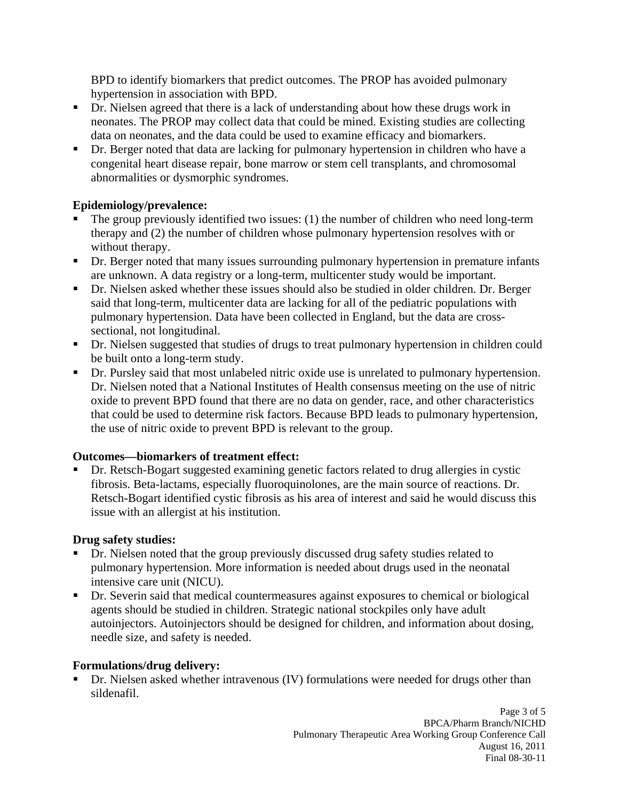BPD to identify biomarkers that predict outcomes. The PROP has avoided pulmonary hypertension in association with BPD.

- **Dr.** Nielsen agreed that there is a lack of understanding about how these drugs work in neonates. The PROP may collect data that could be mined. Existing studies are collecting data on neonates, and the data could be used to examine efficacy and biomarkers.
- ٠ Dr. Berger noted that data are lacking for pulmonary hypertension in children who have a congenital heart disease repair, bone marrow or stem cell transplants, and chromosomal abnormalities or dysmorphic syndromes.

## **Epidemiology/prevalence:**

- ٠ The group previously identified two issues: (1) the number of children who need long-term therapy and (2) the number of children whose pulmonary hypertension resolves with or without therapy.
- Dr. Berger noted that many issues surrounding pulmonary hypertension in premature infants are unknown. A data registry or a long-term, multicenter study would be important.
- Dr. Nielsen asked whether these issues should also be studied in older children. Dr. Berger said that long-term, multicenter data are lacking for all of the pediatric populations with pulmonary hypertension. Data have been collected in England, but the data are crosssectional, not longitudinal.
- Dr. Nielsen suggested that studies of drugs to treat pulmonary hypertension in children could be built onto a long-term study.
- **•** Dr. Pursley said that most unlabeled nitric oxide use is unrelated to pulmonary hypertension. Dr. Nielsen noted that a National Institutes of Health consensus meeting on the use of nitric oxide to prevent BPD found that there are no data on gender, race, and other characteristics that could be used to determine risk factors. Because BPD leads to pulmonary hypertension, the use of nitric oxide to prevent BPD is relevant to the group.

### **Outcomes—biomarkers of treatment effect:**

 Dr. Retsch-Bogart suggested examining genetic factors related to drug allergies in cystic fibrosis. Beta-lactams, especially fluoroquinolones, are the main source of reactions. Dr. Retsch-Bogart identified cystic fibrosis as his area of interest and said he would discuss this issue with an allergist at his institution.

### **Drug safety studies:**

- ٠ Dr. Nielsen noted that the group previously discussed drug safety studies related to pulmonary hypertension. More information is needed about drugs used in the neonatal intensive care unit (NICU).
- Dr. Severin said that medical countermeasures against exposures to chemical or biological agents should be studied in children. Strategic national stockpiles only have adult autoinjectors. Autoinjectors should be designed for children, and information about dosing, needle size, and safety is needed.

### **Formulations/drug delivery:**

 Dr. Nielsen asked whether intravenous (IV) formulations were needed for drugs other than sildenafil.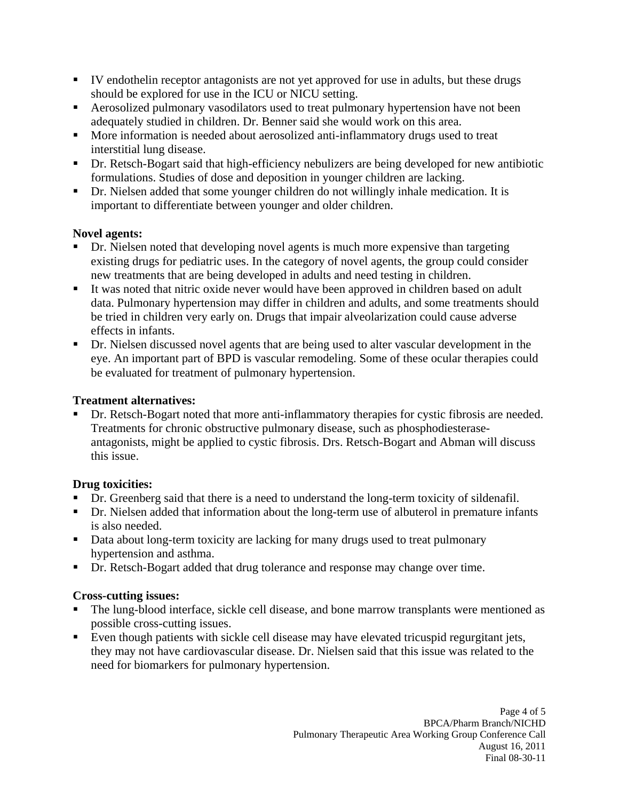- IV endothelin receptor antagonists are not yet approved for use in adults, but these drugs should be explored for use in the ICU or NICU setting.
- **Aerosolized pulmonary vasodilators used to treat pulmonary hypertension have not been** adequately studied in children. Dr. Benner said she would work on this area.
- **More information is needed about aerosolized anti-inflammatory drugs used to treat** interstitial lung disease.
- **•** Dr. Retsch-Bogart said that high-efficiency nebulizers are being developed for new antibiotic formulations. Studies of dose and deposition in younger children are lacking.
- Dr. Nielsen added that some younger children do not willingly inhale medication. It is important to differentiate between younger and older children.

## **Novel agents:**

- Dr. Nielsen noted that developing novel agents is much more expensive than targeting existing drugs for pediatric uses. In the category of novel agents, the group could consider new treatments that are being developed in adults and need testing in children.
- $\blacksquare$ It was noted that nitric oxide never would have been approved in children based on adult data. Pulmonary hypertension may differ in children and adults, and some treatments should be tried in children very early on. Drugs that impair alveolarization could cause adverse effects in infants.
- **•** Dr. Nielsen discussed novel agents that are being used to alter vascular development in the eye. An important part of BPD is vascular remodeling. Some of these ocular therapies could be evaluated for treatment of pulmonary hypertension.

## **Treatment alternatives:**

 Dr. Retsch-Bogart noted that more anti-inflammatory therapies for cystic fibrosis are needed. Treatments for chronic obstructive pulmonary disease, such as phosphodiesteraseantagonists, might be applied to cystic fibrosis. Drs. Retsch-Bogart and Abman will discuss this issue.

# **Drug toxicities:**

- **•** Dr. Greenberg said that there is a need to understand the long-term toxicity of sildenafil.
- **•** Dr. Nielsen added that information about the long-term use of albuterol in premature infants is also needed.
- Data about long-term toxicity are lacking for many drugs used to treat pulmonary hypertension and asthma.
- **•** Dr. Retsch-Bogart added that drug tolerance and response may change over time.

# **Cross-cutting issues:**

- The lung-blood interface, sickle cell disease, and bone marrow transplants were mentioned as possible cross-cutting issues.
- Even though patients with sickle cell disease may have elevated tricuspid regurgitant jets, they may not have cardiovascular disease. Dr. Nielsen said that this issue was related to the need for biomarkers for pulmonary hypertension.